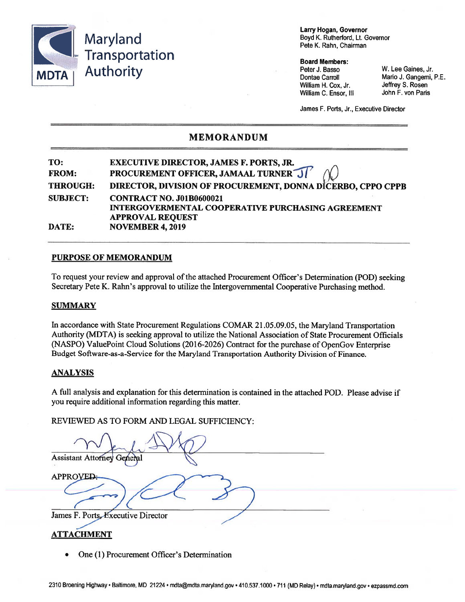

Larry Hogan, Governor Boyd K. Rutherford, Lt. Governor Pete K. Rahn, Chairman

#### **Board Members:**

Peter J. Basso **Dontae Carroll** William H. Cox, Jr. William C. Ensor, III W. Lee Gaines, Jr. Mario J. Gangemi, P.E. Jeffrey S. Rosen John F. von Paris

James F. Ports, Jr., Executive Director

## **MEMORANDUM**

#### TO: **EXECUTIVE DIRECTOR, JAMES F. PORTS, JR. PROCUREMENT OFFICER, JAMAAL TURNER JI** FROM: **THROUGH:** DIRECTOR, DIVISION OF PROCUREMENT, DONNA DICERBO, CPPO CPPB **SUBJECT: CONTRACT NO. J01B0600021 INTERGOVERMENTAL COOPERATIVE PURCHASING AGREEMENT APPROVAL REQUEST DATE: NOVEMBER 4, 2019**

### **PURPOSE OF MEMORANDUM**

To request your review and approval of the attached Procurement Officer's Determination (POD) seeking Secretary Pete K. Rahn's approval to utilize the Intergovernmental Cooperative Purchasing method.

#### **SUMMARY**

In accordance with State Procurement Regulations COMAR 21.05.09.05, the Maryland Transportation Authority (MDTA) is seeking approval to utilize the National Association of State Procurement Officials (NASPO) ValuePoint Cloud Solutions (2016-2026) Contract for the purchase of OpenGov Enterprise Budget Software-as-a-Service for the Maryland Transportation Authority Division of Finance.

#### **ANALYSIS**

A full analysis and explanation for this determination is contained in the attached POD. Please advise if you require additional information regarding this matter.

REVIEWED AS TO FORM AND LEGAL SUFFICIENCY:

**Assistant Attorney APPROVED** James F. Ports, Executive Director

## **ATTACHMENT**

One (1) Procurement Officer's Determination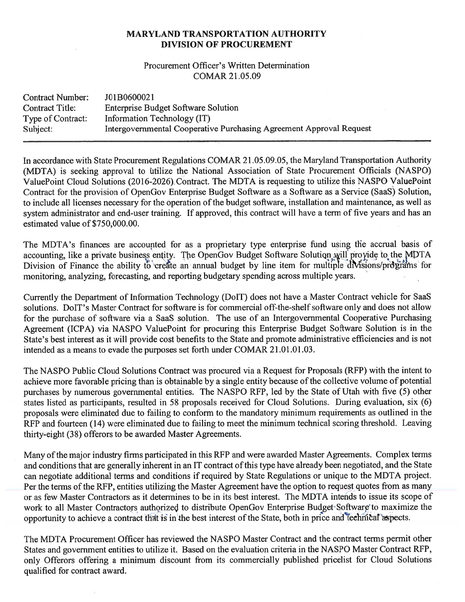## **MARYLAND TRANSPORTATION AUTHORITY DIVISION OF PROCUREMENT**

## Procurement Officer's Written Determination **COMAR 21.05.09**

| <b>Contract Number:</b> | J01B0600021                                                         |
|-------------------------|---------------------------------------------------------------------|
| <b>Contract Title:</b>  | <b>Enterprise Budget Software Solution</b>                          |
| Type of Contract:       | Information Technology (IT)                                         |
| Subject:                | Intergovernmental Cooperative Purchasing Agreement Approval Request |

In accordance with State Procurement Regulations COMAR 21.05.09.05, the Maryland Transportation Authority (MDTA) is seeking approval to utilize the National Association of State Procurement Officials (NASPO) ValuePoint Cloud Solutions (2016-2026) Contract. The MDTA is requesting to utilize this NASPO ValuePoint Contract for the provision of OpenGov Enterprise Budget Software as a Software as a Service (SaaS) Solution, to include all licenses necessary for the operation of the budget software, installation and maintenance, as well as system administrator and end-user training. If approved, this contract will have a term of five years and has an estimated value of \$750,000.00.

The MDTA's finances are accounted for as a proprietary type enterprise fund using the accrual basis of accounting, like a private business entity. The OpenGov Budget Software Solution will provide to the MDTA Division of Finance the ability to create an annual budget by line item for multiple divisions/programs for monitoring, analyzing, forecasting, and reporting budgetary spending across multiple years.

Currently the Department of Information Technology (DoIT) does not have a Master Contract vehicle for SaaS solutions. DoIT's Master Contract for software is for commercial off-the-shelf software only and does not allow for the purchase of software via a SaaS solution. The use of an Intergovernmental Cooperative Purchasing Agreement (ICPA) via NASPO ValuePoint for procuring this Enterprise Budget Software Solution is in the State's best interest as it will provide cost benefits to the State and promote administrative efficiencies and is not intended as a means to evade the purposes set forth under COMAR 21.01.01.03.

The NASPO Public Cloud Solutions Contract was procured via a Request for Proposals (RFP) with the intent to achieve more favorable pricing than is obtainable by a single entity because of the collective volume of potential purchases by numerous governmental entities. The NASPO RFP, led by the State of Utah with five (5) other states listed as participants, resulted in 58 proposals received for Cloud Solutions. During evaluation, six (6) proposals were eliminated due to failing to conform to the mandatory minimum requirements as outlined in the RFP and fourteen (14) were eliminated due to failing to meet the minimum technical scoring threshold. Leaving thirty-eight (38) offerors to be awarded Master Agreements.

Many of the major industry firms participated in this RFP and were awarded Master Agreements. Complex terms and conditions that are generally inherent in an IT contract of this type have already been negotiated, and the State can negotiate additional terms and conditions if required by State Regulations or unique to the MDTA project. Per the terms of the RFP, entities utilizing the Master Agreement have the option to request quotes from as many or as few Master Contractors as it determines to be in its best interest. The MDTA intends to issue its scope of work to all Master Contractors authorized to distribute OpenGov Enterprise Budget Software to maximize the opportunity to achieve a contract that is in the best interest of the State, both in price and technical aspects.

The MDTA Procurement Officer has reviewed the NASPO Master Contract and the contract terms permit other States and government entities to utilize it. Based on the evaluation criteria in the NASPO Master Contract RFP, only Offerors offering a minimum discount from its commercially published pricelist for Cloud Solutions qualified for contract award.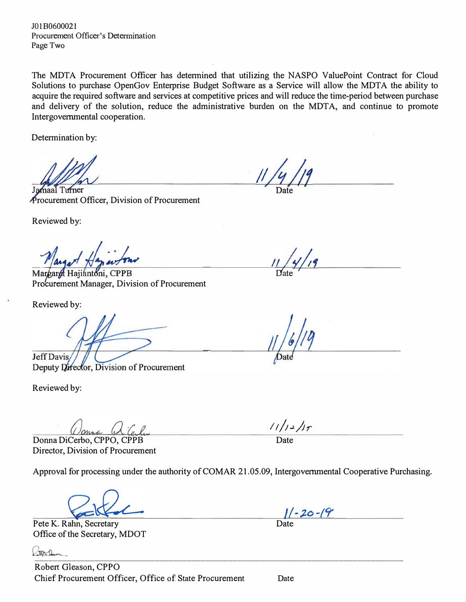JO 1 B060002 l Procurement Officer's Determination Page Two

The MDTA Procurement Officer has determined that utilizing the NASPO ValuePoint Contract for Cloud Solutions to purchase OpenGov Enterprise Budget Software as a Service will allow the MDTA the ability to acquire the required software and services at competitive prices and will reduce the time-period between purchase and delivery of the solution, reduce the administrative burden on the MDTA, and continue to promote Intergovernmental cooperation.

Determination by:

maal Turner Procurement Officer, Division of Procurement

Reviewed by:

Margaret Hajiantoni, CPPB Procurement Manager, Division of Procurement

Reviewed by:

Jeff Davis/ Deputy Director, Division of Procurement

Reviewed by:

Donna DiCerbo, CPPO, CPPB Director, Division of Procurement

Approval for processing under the authority of COMAR 21.05.09, Intergovernmental Cooperative Purchasing.

Office of the Secretary, MDOT

[\\_\\_\\_\\_\\_\\_\\_\\_\\_\\_\\_\\_\\_\\_\\_](https://na2.documents.adobe.com/verifier?tx=CBJCHBCAABAAOxveoCBgBdGi8mCj0BZhyhNunxsZeZ98)\_\_\_\_\_\_\_\_\_\_\_\_\_\_\_\_\_\_\_\_\_\_\_\_\_\_\_\_\_\_\_\_\_\_\_\_\_\_\_\_\_\_\_\_\_\_\_\_\_\_\_\_\_\_\_\_\_\_\_\_\_\_\_\_\_ Robert Gleason, CPPO Chief Procurement Officer, Office of State Procurement Date

Date

 $\frac{11}{2}$ 

Pete K. Rahn, Secretary Date  $1/-20-19$